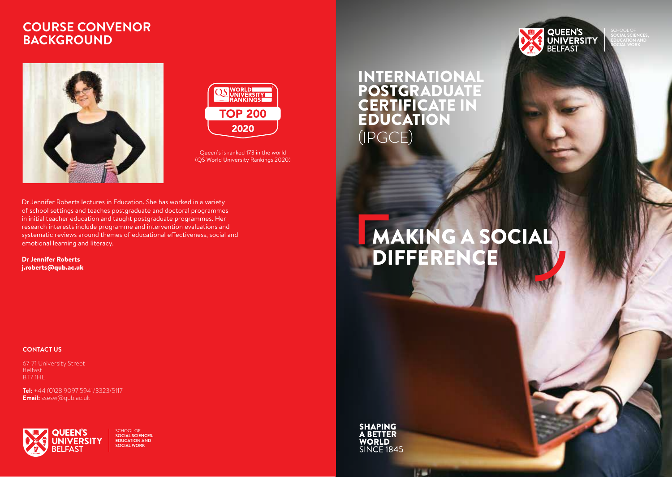### **COURSE CONVENOR BACKGROUND**





Queen's is ranked 173 in the world (QS World University Rankings 2020)

#### Dr Jennifer Roberts lectures in Education. She has worked in a variety of school settings and teaches postgraduate and doctoral programmes in initial teacher education and taught postgraduate programmes. Her research interests include programme and intervention evaluations and systematic reviews around themes of educational effectiveness, social and emotional learning and literacy.

Dr Jennifer Roberts j.roberts@qub.ac.uk

### **CONTACT US**

67-71 University Street Belfast BT7 1HL

**Tel:** +44 (0)28 9097 5941/3323/5117 **Email:** ssesw@qub.ac.uk



SCHOOL OF **SOCIAL SCIENCES, EDUCATION AND SOCIAL WORK**

### INTERNATIONAL **POSTGRADUATE** CERTIFICATE IN EDUCATION (IPGCE)





**QUEEN'S<br>UNIVERSITY**<br>BELFAST

**SOCIAL SCIENCES, EDUCATION AND SOCIAL WORK**